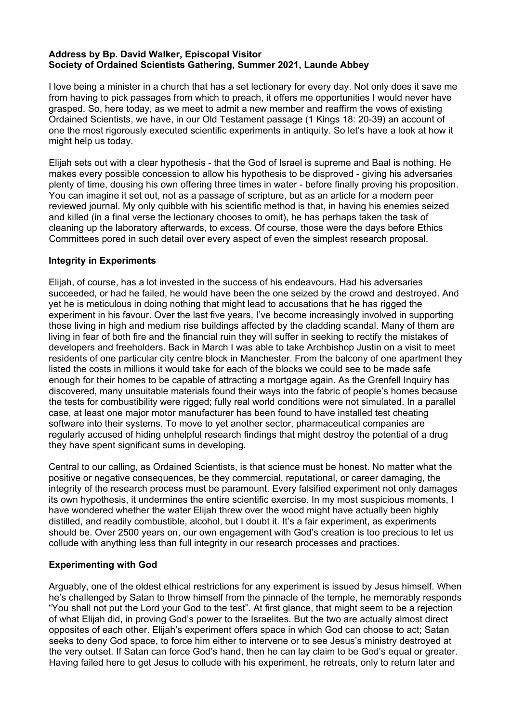## **Address by Bp. David Walker, Episcopal Visitor Society of Ordained Scientists Gathering, Summer 2021, Launde Abbey**

I love being a minister in a church that has a set lectionary for every day. Not only does it save me from having to pick passages from which to preach, it offers me opportunities I would never have grasped. So, here today, as we meet to admit a new member and reaffirm the vows of existing Ordained Scientists, we have, in our Old Testament passage (1 Kings 18: 20-39) an account of one the most rigorously executed scientific experiments in antiquity. So let's have a look at how it might help us today.

Elijah sets out with a clear hypothesis - that the God of Israel is supreme and Baal is nothing. He makes every possible concession to allow his hypothesis to be disproved - giving his adversaries plenty of time, dousing his own offering three times in water - before finally proving his proposition. You can imagine it set out, not as a passage of scripture, but as an article for a modern peer reviewed journal. My only quibble with his scientific method is that, in having his enemies seized and killed (in a final verse the lectionary chooses to omit), he has perhaps taken the task of cleaning up the laboratory afterwards, to excess. Of course, those were the days before Ethics Committees pored in such detail over every aspect of even the simplest research proposal.

## **Integrity in Experiments**

Elijah, of course, has a lot invested in the success of his endeavours. Had his adversaries succeeded, or had he failed, he would have been the one seized by the crowd and destroyed. And yet he is meticulous in doing nothing that might lead to accusations that he has rigged the experiment in his favour. Over the last five years, I've become increasingly involved in supporting those living in high and medium rise buildings affected by the cladding scandal. Many of them are living in fear of both fire and the financial ruin they will suffer in seeking to rectify the mistakes of developers and freeholders. Back in March I was able to take Archbishop Justin on a visit to meet residents of one particular city centre block in Manchester. From the balcony of one apartment they listed the costs in millions it would take for each of the blocks we could see to be made safe enough for their homes to be capable of attracting a mortgage again. As the Grenfell Inquiry has discovered, many unsuitable materials found their ways into the fabric of people's homes because the tests for combustibility were rigged; fully real world conditions were not simulated. In a parallel case, at least one major motor manufacturer has been found to have installed test cheating software into their systems. To move to yet another sector, pharmaceutical companies are regularly accused of hiding unhelpful research findings that might destroy the potential of a drug they have spent significant sums in developing.

Central to our calling, as Ordained Scientists, is that science must be honest. No matter what the positive or negative consequences, be they commercial, reputational, or career damaging, the integrity of the research process must be paramount. Every falsified experiment not only damages its own hypothesis, it undermines the entire scientific exercise. In my most suspicious moments, I have wondered whether the water Elijah threw over the wood might have actually been highly distilled, and readily combustible, alcohol, but I doubt it. It's a fair experiment, as experiments should be. Over 2500 years on, our own engagement with God's creation is too precious to let us collude with anything less than full integrity in our research processes and practices.

## **Experimenting with God**

Arguably, one of the oldest ethical restrictions for any experiment is issued by Jesus himself. When he's challenged by Satan to throw himself from the pinnacle of the temple, he memorably responds "You shall not put the Lord your God to the test". At first glance, that might seem to be a rejection of what Elijah did, in proving God's power to the Israelites. But the two are actually almost direct opposites of each other. Elijah's experiment offers space in which God can choose to act; Satan seeks to deny God space, to force him either to intervene or to see Jesus's ministry destroyed at the very outset. If Satan can force God's hand, then he can lay claim to be God's equal or greater. Having failed here to get Jesus to collude with his experiment, he retreats, only to return later and